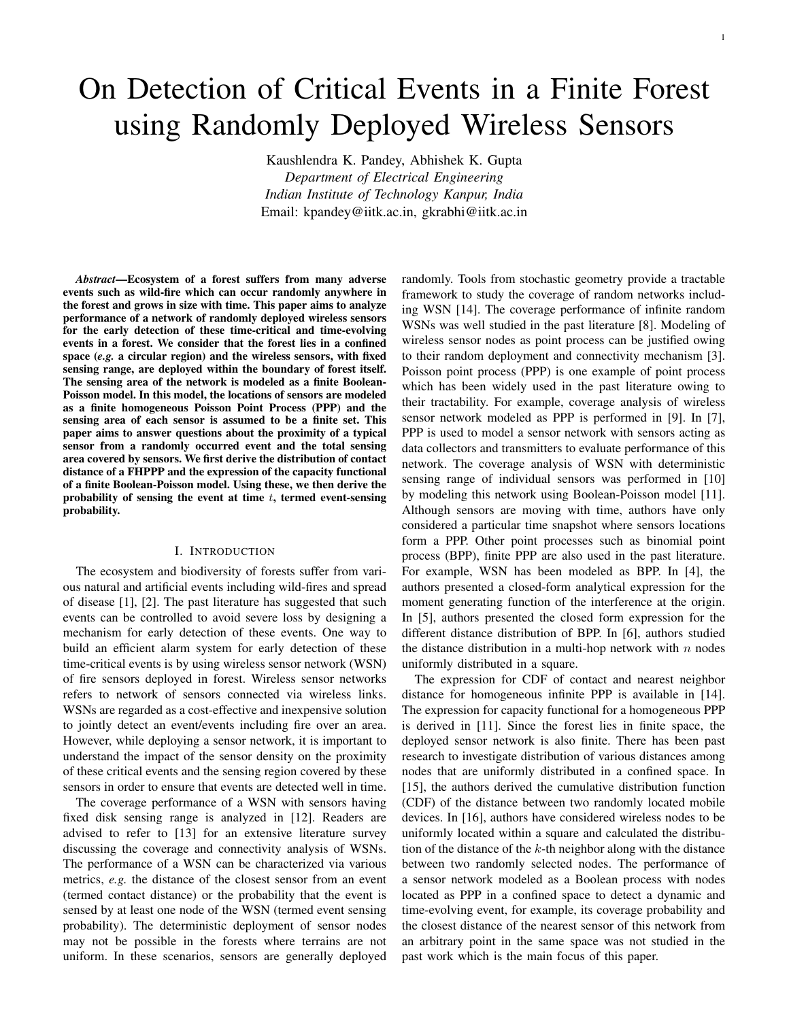# On Detection of Critical Events in a Finite Forest using Randomly Deployed Wireless Sensors

Kaushlendra K. Pandey, Abhishek K. Gupta *Department of Electrical Engineering Indian Institute of Technology Kanpur, India* Email: kpandey@iitk.ac.in, gkrabhi@iitk.ac.in

*Abstract*—Ecosystem of a forest suffers from many adverse events such as wild-fire which can occur randomly anywhere in the forest and grows in size with time. This paper aims to analyze performance of a network of randomly deployed wireless sensors for the early detection of these time-critical and time-evolving events in a forest. We consider that the forest lies in a confined space (*e.g.* a circular region) and the wireless sensors, with fixed sensing range, are deployed within the boundary of forest itself. The sensing area of the network is modeled as a finite Boolean-Poisson model. In this model, the locations of sensors are modeled as a finite homogeneous Poisson Point Process (PPP) and the sensing area of each sensor is assumed to be a finite set. This paper aims to answer questions about the proximity of a typical sensor from a randomly occurred event and the total sensing area covered by sensors. We first derive the distribution of contact distance of a FHPPP and the expression of the capacity functional of a finite Boolean-Poisson model. Using these, we then derive the probability of sensing the event at time  $t$ , termed event-sensing probability.

## I. INTRODUCTION

The ecosystem and biodiversity of forests suffer from various natural and artificial events including wild-fires and spread of disease [1], [2]. The past literature has suggested that such events can be controlled to avoid severe loss by designing a mechanism for early detection of these events. One way to build an efficient alarm system for early detection of these time-critical events is by using wireless sensor network (WSN) of fire sensors deployed in forest. Wireless sensor networks refers to network of sensors connected via wireless links. WSNs are regarded as a cost-effective and inexpensive solution to jointly detect an event/events including fire over an area. However, while deploying a sensor network, it is important to understand the impact of the sensor density on the proximity of these critical events and the sensing region covered by these sensors in order to ensure that events are detected well in time.

The coverage performance of a WSN with sensors having fixed disk sensing range is analyzed in [12]. Readers are advised to refer to [13] for an extensive literature survey discussing the coverage and connectivity analysis of WSNs. The performance of a WSN can be characterized via various metrics, *e.g.* the distance of the closest sensor from an event (termed contact distance) or the probability that the event is sensed by at least one node of the WSN (termed event sensing probability). The deterministic deployment of sensor nodes may not be possible in the forests where terrains are not uniform. In these scenarios, sensors are generally deployed

randomly. Tools from stochastic geometry provide a tractable framework to study the coverage of random networks including WSN [14]. The coverage performance of infinite random WSNs was well studied in the past literature [8]. Modeling of wireless sensor nodes as point process can be justified owing to their random deployment and connectivity mechanism [3]. Poisson point process (PPP) is one example of point process which has been widely used in the past literature owing to their tractability. For example, coverage analysis of wireless sensor network modeled as PPP is performed in [9]. In [7], PPP is used to model a sensor network with sensors acting as data collectors and transmitters to evaluate performance of this network. The coverage analysis of WSN with deterministic sensing range of individual sensors was performed in [10] by modeling this network using Boolean-Poisson model [11]. Although sensors are moving with time, authors have only considered a particular time snapshot where sensors locations form a PPP. Other point processes such as binomial point process (BPP), finite PPP are also used in the past literature. For example, WSN has been modeled as BPP. In [4], the authors presented a closed-form analytical expression for the moment generating function of the interference at the origin. In [5], authors presented the closed form expression for the different distance distribution of BPP. In [6], authors studied the distance distribution in a multi-hop network with  $n$  nodes uniformly distributed in a square.

The expression for CDF of contact and nearest neighbor distance for homogeneous infinite PPP is available in [14]. The expression for capacity functional for a homogeneous PPP is derived in [11]. Since the forest lies in finite space, the deployed sensor network is also finite. There has been past research to investigate distribution of various distances among nodes that are uniformly distributed in a confined space. In [15], the authors derived the cumulative distribution function (CDF) of the distance between two randomly located mobile devices. In [16], authors have considered wireless nodes to be uniformly located within a square and calculated the distribution of the distance of the  $k$ -th neighbor along with the distance between two randomly selected nodes. The performance of a sensor network modeled as a Boolean process with nodes located as PPP in a confined space to detect a dynamic and time-evolving event, for example, its coverage probability and the closest distance of the nearest sensor of this network from an arbitrary point in the same space was not studied in the past work which is the main focus of this paper.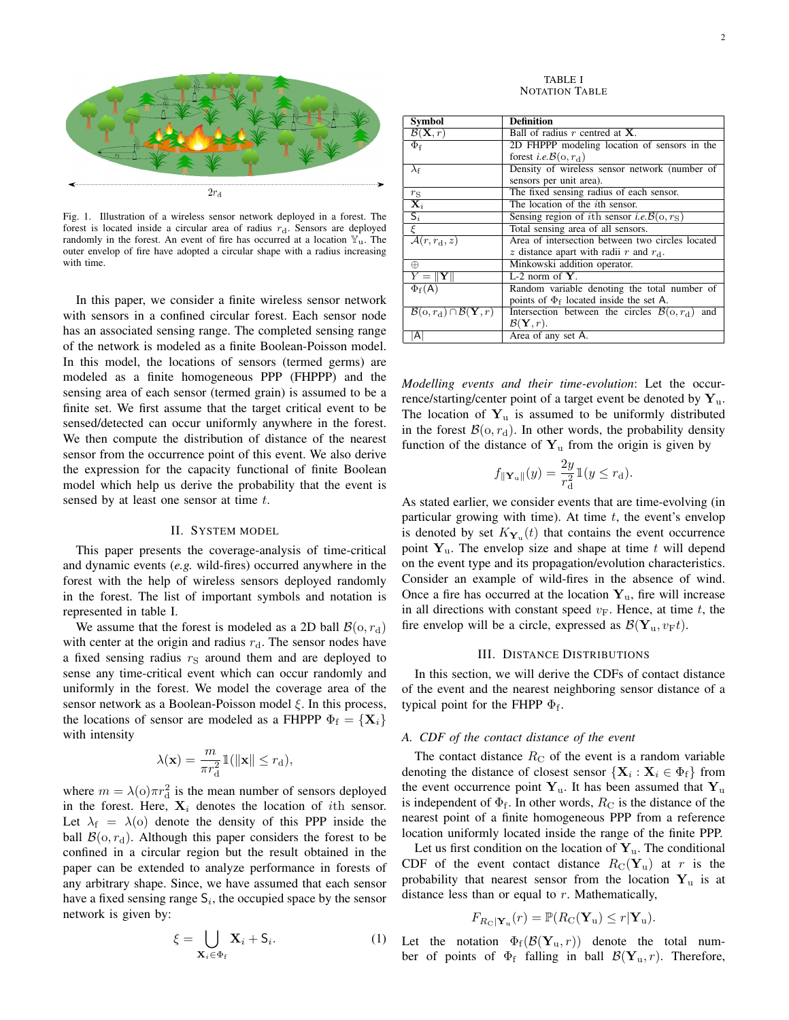

Fig. 1. Illustration of a wireless sensor network deployed in a forest. The forest is located inside a circular area of radius  $r_d$ . Sensors are deployed randomly in the forest. An event of fire has occurred at a location  $\mathbb{Y}_u$ . The outer envelop of fire have adopted a circular shape with a radius increasing with time.

In this paper, we consider a finite wireless sensor network with sensors in a confined circular forest. Each sensor node has an associated sensing range. The completed sensing range of the network is modeled as a finite Boolean-Poisson model. In this model, the locations of sensors (termed germs) are modeled as a finite homogeneous PPP (FHPPP) and the sensing area of each sensor (termed grain) is assumed to be a finite set. We first assume that the target critical event to be sensed/detected can occur uniformly anywhere in the forest. We then compute the distribution of distance of the nearest sensor from the occurrence point of this event. We also derive the expression for the capacity functional of finite Boolean model which help us derive the probability that the event is sensed by at least one sensor at time t.

## II. SYSTEM MODEL

This paper presents the coverage-analysis of time-critical and dynamic events (*e.g.* wild-fires) occurred anywhere in the forest with the help of wireless sensors deployed randomly in the forest. The list of important symbols and notation is represented in table I.

We assume that the forest is modeled as a 2D ball  $\mathcal{B}(o, r_d)$ with center at the origin and radius  $r_d$ . The sensor nodes have a fixed sensing radius  $r<sub>S</sub>$  around them and are deployed to sense any time-critical event which can occur randomly and uniformly in the forest. We model the coverage area of the sensor network as a Boolean-Poisson model  $\xi$ . In this process, the locations of sensor are modeled as a FHPPP  $\Phi_f = {\mathbf{X}_i}$ with intensity

$$
\lambda(\mathbf{x}) = \frac{m}{\pi r_{\rm d}^2} \mathbb{1}(\|\mathbf{x}\| \le r_{\rm d}),
$$

where  $m = \lambda(0)\pi r_d^2$  is the mean number of sensors deployed in the forest. Here,  $X_i$  denotes the location of *i*th sensor. Let  $\lambda_f = \lambda(o)$  denote the density of this PPP inside the ball  $\mathcal{B}(o, r_d)$ . Although this paper considers the forest to be confined in a circular region but the result obtained in the paper can be extended to analyze performance in forests of any arbitrary shape. Since, we have assumed that each sensor have a fixed sensing range  $S_i$ , the occupied space by the sensor network is given by:

$$
\xi = \bigcup_{\mathbf{X}_i \in \Phi_f} \mathbf{X}_i + \mathbf{S}_i. \tag{1}
$$

TABLE I NOTATION TABLE

| <b>Symbol</b>                                                       | Definition                                                             |
|---------------------------------------------------------------------|------------------------------------------------------------------------|
| $\mathcal{B}(\mathbf{X}, r)$                                        | Ball of radius $r$ centred at $X$ .                                    |
| $\Phi_{\mathrm{f}}$                                                 | 2D FHPPP modeling location of sensors in the                           |
|                                                                     | forest <i>i.e.</i> $\mathcal{B}(\mathbf{o}, r_{d})$                    |
| $\lambda_{\rm f}$                                                   | Density of wireless sensor network (number of                          |
|                                                                     | sensors per unit area).                                                |
| $r_{\rm S}$                                                         | The fixed sensing radius of each sensor.                               |
| $\overline{\mathbf{X}_i}$                                           | The location of the <i>i</i> th sensor.                                |
| $\overline{S_i}$                                                    | Sensing region of <i>i</i> th sensor <i>i.e.</i> $\mathcal{B}(o, r_s)$ |
| $\overline{\xi}$                                                    | Total sensing area of all sensors.                                     |
| $\overline{\mathcal{A}(r,r_{\rm d},z)}$                             | Area of intersection between two circles located                       |
|                                                                     | z distance apart with radii r and $r_{d}$ .                            |
| ⊕                                                                   | Minkowski addition operator.                                           |
| $Y =   Y  $                                                         | $L-2$ norm of $Y$ .                                                    |
| $\Phi_{\rm f}(A)$                                                   | Random variable denoting the total number of                           |
|                                                                     | points of $\Phi_f$ located inside the set A.                           |
| $\mathcal{B}(\text{o},r_{\text{d}}) \cap \mathcal{B}(\mathbf{Y},r)$ | Intersection between the circles $\mathcal{B}(o, r_d)$<br>and          |
|                                                                     | $\mathcal{B}(\mathbf{Y}, r)$ .                                         |
| Al                                                                  | Area of any set A.                                                     |

*Modelling events and their time-evolution*: Let the occurrence/starting/center point of a target event be denoted by  $Y_u$ . The location of  $Y_{\text{u}}$  is assumed to be uniformly distributed in the forest  $\mathcal{B}(o, r_d)$ . In other words, the probability density function of the distance of  $Y_u$  from the origin is given by

$$
f_{\|\mathbf{Y}_{\mathrm{u}}\|}(y) = \frac{2y}{r_{\mathrm{d}}^2} \mathbb{1}(y \le r_{\mathrm{d}}).
$$

As stated earlier, we consider events that are time-evolving (in particular growing with time). At time  $t$ , the event's envelop is denoted by set  $K_{\mathbf{Y}_u}(t)$  that contains the event occurrence point  $Y_u$ . The envelop size and shape at time t will depend on the event type and its propagation/evolution characteristics. Consider an example of wild-fires in the absence of wind. Once a fire has occurred at the location  $Y_u$ , fire will increase in all directions with constant speed  $v_F$ . Hence, at time t, the fire envelop will be a circle, expressed as  $\mathcal{B}(\mathbf{Y}_u, v_Ft)$ .

#### III. DISTANCE DISTRIBUTIONS

In this section, we will derive the CDFs of contact distance of the event and the nearest neighboring sensor distance of a typical point for the FHPP  $\Phi_f$ .

#### *A. CDF of the contact distance of the event*

The contact distance  $R_C$  of the event is a random variable denoting the distance of closest sensor  $\{X_i : X_i \in \Phi_f\}$  from the event occurrence point  $Y_u$ . It has been assumed that  $Y_u$ is independent of  $\Phi_f$ . In other words,  $R_C$  is the distance of the nearest point of a finite homogeneous PPP from a reference location uniformly located inside the range of the finite PPP.

Let us first condition on the location of  $Y_u$ . The conditional CDF of the event contact distance  $R_{\text{C}}(\mathbf{Y}_u)$  at r is the probability that nearest sensor from the location  $Y_{\mu}$  is at distance less than or equal to  $r$ . Mathematically,

$$
F_{R_{\mathcal{C}}|\mathbf{Y}_{\mathbf{u}}}(r) = \mathbb{P}(R_{\mathcal{C}}(\mathbf{Y}_{\mathbf{u}}) \leq r|\mathbf{Y}_{\mathbf{u}}).
$$

Let the notation  $\Phi_f(\mathcal{B}(\mathbf{Y}_u, r))$  denote the total number of points of  $\Phi_f$  falling in ball  $\mathcal{B}(\mathbf{Y}_u, r)$ . Therefore,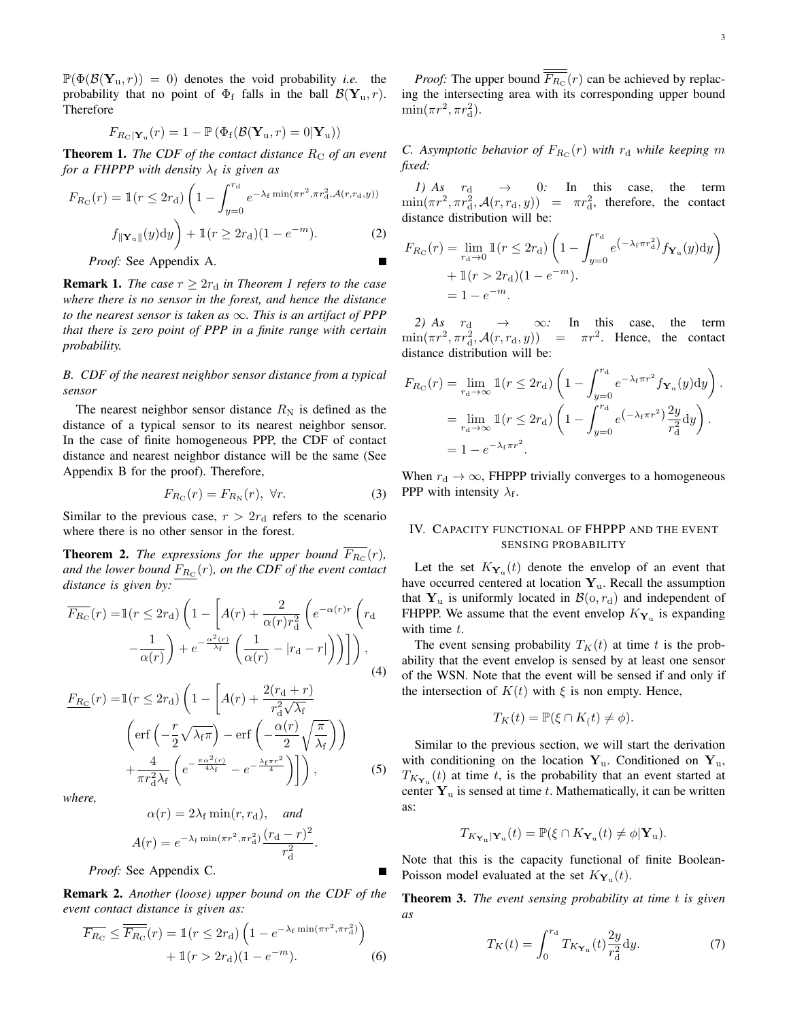$\mathbb{P}(\Phi(\mathcal{B}(\mathbf{Y}_u, r)) = 0)$  denotes the void probability *i.e.* the probability that no point of  $\Phi_f$  falls in the ball  $\mathcal{B}(\mathbf{Y}_u, r)$ . Therefore

$$
F_{R_{\rm C}|\mathbf{Y}_{\rm u}}(r)=1-\mathbb{P}\left(\Phi_{\rm f}(\mathcal{B}(\mathbf{Y}_{\rm u},r)=0|\mathbf{Y}_{\rm u})\right)
$$

**Theorem 1.** *The CDF of the contact distance*  $R_C$  *of an event for a FHPPP with density*  $\lambda_f$  *is given as* 

$$
F_{R_{\rm C}}(r) = \mathbb{1}(r \le 2r_{\rm d}) \left(1 - \int_{y=0}^{r_{\rm d}} e^{-\lambda_{\rm f} \min(\pi r^2, \pi r_{\rm d}^2, \mathcal{A}(r, r_{\rm d}, y))} \right)
$$

$$
f_{\parallel \mathbf{Y}_{\rm u} \parallel}(y) dy \right) + \mathbb{1}(r \ge 2r_{\rm d}) (1 - e^{-m}). \tag{2}
$$

*Proof:* See Appendix A.

**Remark 1.** *The case*  $r \geq 2r_d$  *in Theorem 1 refers to the case where there is no sensor in the forest, and hence the distance to the nearest sensor is taken as* ∞*. This is an artifact of PPP that there is zero point of PPP in a finite range with certain probability.*

## *B. CDF of the nearest neighbor sensor distance from a typical sensor*

The nearest neighbor sensor distance  $R_N$  is defined as the distance of a typical sensor to its nearest neighbor sensor. In the case of finite homogeneous PPP, the CDF of contact distance and nearest neighbor distance will be the same (See Appendix B for the proof). Therefore,

$$
F_{R_{\rm C}}(r) = F_{R_{\rm N}}(r), \ \forall r. \tag{3}
$$

Similar to the previous case,  $r > 2r_d$  refers to the scenario where there is no other sensor in the forest.

**Theorem 2.** The expressions for the upper bound  $F_{R_C}(r)$ , and the lower bound  $F_{R_{\rm C}}(r)$ , on the CDF of the event contact *distance is given by:*

$$
\overline{F_{R_C}}(r) = \mathbb{1}(r \le 2r_d) \left( 1 - \left[ A(r) + \frac{2}{\alpha(r)r_d^2} \left( e^{-\alpha(r)r} \left( r_d - \frac{1}{\alpha(r)} \right) + e^{-\frac{\alpha^2(r)}{\lambda_f}} \left( \frac{1}{\alpha(r)} - |r_d - r| \right) \right) \right] \right),
$$
\n(4)

$$
\underline{F_{R_C}}(r) = \mathbb{1}(r \le 2r_{\rm d}) \left( 1 - \left[ A(r) + \frac{2(r_{\rm d} + r)}{r_{\rm d}^2 \sqrt{\lambda_{\rm f}}} \right] \left( \text{erf}\left( -\frac{r}{2} \sqrt{\lambda_{\rm f} \pi} \right) - \text{erf}\left( -\frac{\alpha(r)}{2} \sqrt{\frac{\pi}{\lambda_{\rm f}}} \right) \right) + \frac{4}{\pi r_{\rm d}^2 \lambda_{\rm f}} \left( e^{-\frac{\pi \alpha^2(r)}{4\lambda_{\rm f}}} - e^{-\frac{\lambda_{\rm f} \pi r^2}{4}} \right) \right), \tag{5}
$$

*where,*

$$
\alpha(r) = 2\lambda_f \min(r, r_d), \quad \text{and}
$$

$$
A(r) = e^{-\lambda_f \min(\pi r^2, \pi r_d^2)} \frac{(r_d - r)^2}{r_d^2}.
$$

*Proof:* See Appendix C.

Remark 2. *Another (loose) upper bound on the CDF of the event contact distance is given as:*

$$
\overline{F_{R_{\rm C}}} \le \overline{F_{R_{\rm C}}}(r) = \mathbb{1}(r \le 2r_{\rm d}) \left(1 - e^{-\lambda_{\rm f} \min(\pi r^2, \pi r_{\rm d}^2)}\right) + \mathbb{1}(r > 2r_{\rm d})(1 - e^{-m}). \tag{6}
$$

*Proof:* The upper bound  $F_{R_C}(r)$  can be achieved by replacing the intersecting area with its corresponding upper bound  $\min(\pi r^2, \pi r_d^2)$ .

*C.* Asymptotic behavior of  $F_{R_C}(r)$  with  $r_d$  while keeping  $m$ *fixed:*

*1)* As  $r_d \rightarrow 0$ : In this case, the term  $\min(\pi r^2, \pi r_d^2, \mathcal{A}(r, r_d, y)) = \pi r_d^2$ , therefore, the contact distance distribution will be:

$$
F_{R_C}(r) = \lim_{r_d \to 0} \mathbb{1}(r \le 2r_d) \left(1 - \int_{y=0}^{r_d} e^{(-\lambda_f \pi r_d^2)} f_{\mathbf{Y}_u}(y) dy\right) + \mathbb{1}(r > 2r_d) (1 - e^{-m}). = 1 - e^{-m}.
$$

*2)* As  $r_d \rightarrow \infty$ : In this case, the term  $\min(\pi r^2, \pi r_d^2, \mathcal{A}(r, r_d, y)) = \pi r^2$ . Hence, the contact distance distribution will be:

$$
F_{R_{\rm C}}(r) = \lim_{r_{\rm d} \to \infty} \mathbb{1}(r \le 2r_{\rm d}) \left(1 - \int_{y=0}^{r_{\rm d}} e^{-\lambda_{\rm f} \pi r^2} f_{\mathbf{Y}_{\rm u}}(y) \mathrm{d}y\right).
$$
  
= 
$$
\lim_{r_{\rm d} \to \infty} \mathbb{1}(r \le 2r_{\rm d}) \left(1 - \int_{y=0}^{r_{\rm d}} e^{-\lambda_{\rm f} \pi r^2} \frac{2y}{r_{\rm d}^2} \mathrm{d}y\right).
$$
  
= 
$$
1 - e^{-\lambda_{\rm f} \pi r^2}.
$$

When  $r_d \rightarrow \infty$ , FHPPP trivially converges to a homogeneous **PPP** with intensity  $\lambda_f$ .

# IV. CAPACITY FUNCTIONAL OF FHPPP AND THE EVENT SENSING PROBABILITY

Let the set  $K_{\mathbf{Y}_u}(t)$  denote the envelop of an event that have occurred centered at location  $Y_u$ . Recall the assumption that  $Y_u$  is uniformly located in  $\mathcal{B}(o, r_d)$  and independent of FHPPP. We assume that the event envelop  $K_{\mathbf{Y}_u}$  is expanding with time  $t$ .

The event sensing probability  $T_K(t)$  at time t is the probability that the event envelop is sensed by at least one sensor of the WSN. Note that the event will be sensed if and only if the intersection of  $K(t)$  with  $\xi$  is non empty. Hence,

$$
T_K(t) = \mathbb{P}(\xi \cap K(t) \neq \phi).
$$

Similar to the previous section, we will start the derivation with conditioning on the location  $Y_u$ . Conditioned on  $Y_u$ ,  $T_{K_{\mathbf{Y}_u}}(t)$  at time t, is the probability that an event started at center  $Y_u$  is sensed at time t. Mathematically, it can be written as:

$$
T_{K_{\mathbf{Y}_{\mathrm{u}}}|\mathbf{Y}_{\mathrm{u}}}(t)=\mathbb{P}(\xi\cap K_{\mathbf{Y}_{\mathrm{u}}}(t)\neq \phi|\mathbf{Y}_{\mathrm{u}}).
$$

Note that this is the capacity functional of finite Boolean-Poisson model evaluated at the set  $K_{\mathbf{Y}_u}(t)$ .

Theorem 3. *The event sensing probability at time* t *is given as*

$$
T_K(t) = \int_0^{r_d} T_{K_{\mathbf{Y}_u}}(t) \frac{2y}{r_d^2} dy.
$$
 (7)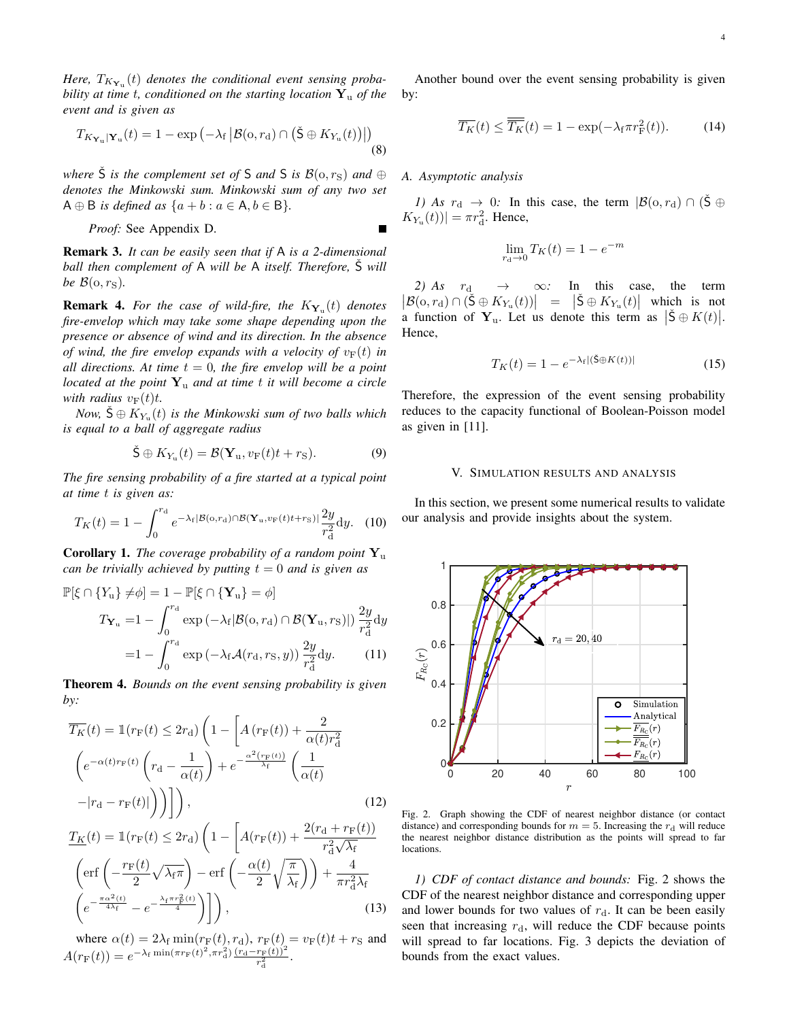$H$ ere,  $T_{K_{\mathbf{Y}_\mathbf{u}}}(t)$  denotes the conditional event sensing proba*bility at time t, conditioned on the starting location*  $Y_u$  *of the event and is given as*

$$
T_{K_{\mathbf{Y}_{\mathrm{u}}}|\mathbf{Y}_{\mathrm{u}}}(t) = 1 - \exp\left(-\lambda_{\mathrm{f}}\left|\mathcal{B}(\mathrm{o},r_{\mathrm{d}}) \cap \left(\check{\mathrm{S}} \oplus K_{Y_{\mathrm{u}}}(t)\right)\right|\right) \tag{8}
$$

*where*  $\check{S}$  *is the complement set of* S *and* S *is*  $\mathcal{B}(o, r_S)$  *and*  $\oplus$ *denotes the Minkowski sum. Minkowski sum of any two set*  $A \oplus B$  *is defined as*  $\{a + b : a \in A, b \in B\}.$ 

*Proof:* See Appendix D.

Remark 3. *It can be easily seen that if* A *is a 2-dimensional ball then complement of* A *will be* A *itself. Therefore,* S *will be*  $\mathcal{B}(\mathfrak{o}, r_{\mathbf{S}})$ *.* 

**Remark 4.** For the case of wild-fire, the  $K_{\mathbf{Y}_u}(t)$  denotes *fire-envelop which may take some shape depending upon the presence or absence of wind and its direction. In the absence of wind, the fire envelop expands with a velocity of*  $v_F(t)$  *in all directions. At time*  $t = 0$ *, the fire envelop will be a point located at the point* Y<sup>u</sup> *and at time* t *it will become a circle with radius*  $v_F(t)t$ .

*Now,*  $\check{S} \oplus K_{Y_{u}}(t)$  *is the Minkowski sum of two balls which is equal to a ball of aggregate radius*

$$
\check{\mathbf{S}} \oplus K_{Y_{\mathrm{u}}}(t) = \mathcal{B}(\mathbf{Y}_{\mathrm{u}}, v_{\mathrm{F}}(t)t + r_{\mathrm{S}}). \tag{9}
$$

*The fire sensing probability of a fire started at a typical point at time* t *is given as:*

$$
T_K(t) = 1 - \int_0^{r_\mathrm{d}} e^{-\lambda_\mathrm{f} |\mathcal{B}(\mathrm{o}, r_\mathrm{d}) \cap \mathcal{B}(\mathbf{Y}_\mathrm{u}, v_\mathrm{F}(t)t + r_\mathrm{S})|} \frac{2y}{r_\mathrm{d}^2} \mathrm{d}y. \tag{10}
$$

Corollary 1. *The coverage probability of a random point* Y<sup>u</sup> *can be trivially achieved by putting*  $t = 0$  *and is given as* 

$$
\mathbb{P}[\xi \cap \{Y_{u}\} \neq \phi] = 1 - \mathbb{P}[\xi \cap \{\mathbf{Y}_{u}\} = \phi]
$$
  

$$
T_{\mathbf{Y}_{u}} = 1 - \int_{0}^{r_{\mathrm{d}}} \exp(-\lambda_{\mathrm{f}}|\mathcal{B}(\mathbf{o}, r_{\mathrm{d}}) \cap \mathcal{B}(\mathbf{Y}_{u}, r_{\mathrm{S}})|) \frac{2y}{r_{\mathrm{d}}^{2}} dy
$$
  

$$
= 1 - \int_{0}^{r_{\mathrm{d}}} \exp(-\lambda_{\mathrm{f}}\mathcal{A}(r_{\mathrm{d}}, r_{\mathrm{S}}, y)) \frac{2y}{r_{\mathrm{d}}^{2}} dy. \tag{11}
$$

Theorem 4. *Bounds on the event sensing probability is given by:*

$$
\overline{T_K}(t) = \mathbb{1}(r_F(t) \le 2r_d) \left(1 - \left[A(r_F(t)) + \frac{2}{\alpha(t)r_d^2}\right]\n\left(e^{-\alpha(t)r_F(t)} \left(r_d - \frac{1}{\alpha(t)}\right) + e^{-\frac{\alpha^2(r_F(t))}{\lambda_f}} \left(\frac{1}{\alpha(t)}\right)\n-|r_d - r_F(t)|\right)\right)\n\tag{12}
$$

$$
\underline{T_K}(t) = \mathbb{1}(r_F(t) \le 2r_d) \left( 1 - \left[ A(r_F(t)) + \frac{2(r_d + r_F(t))}{r_d^2 \sqrt{\lambda_f}} \right] \left( \text{erf}\left( -\frac{r_F(t)}{2} \sqrt{\lambda_f \pi} \right) - \text{erf}\left( -\frac{\alpha(t)}{2} \sqrt{\frac{\pi}{\lambda_f}} \right) \right) + \frac{4}{\pi r_d^2 \lambda_f} \left( e^{-\frac{\pi \alpha^2(t)}{4\lambda_f}} - e^{-\frac{\lambda_f \pi r_F^2(t)}{4}} \right) \right), \tag{13}
$$

where  $\alpha(t) = 2\lambda_f \min(r_F(t), r_d)$ ,  $r_F(t) = v_F(t)t + r_S$  and  $A(r_{\rm F}(t)) = e^{-\lambda_{\rm f} \min(\pi r_{\rm F}(t)^2, \pi r_{\rm d}^2)} \frac{(r_{\rm d}-r_{\rm F}(t))^2}{r_{\rm d}^2}.$ 

Another bound over the event sensing probability is given by:

$$
\overline{T_K}(t) \le \overline{\overline{T_K}}(t) = 1 - \exp(-\lambda_f \pi r_F^2(t)). \tag{14}
$$

## *A. Asymptotic analysis*

*1)* As  $r_d \rightarrow 0$ : In this case, the term  $|\mathcal{B}(o, r_d) \cap (\check{S} \oplus$  $K_{Y_{\rm u}}(t))$  =  $\pi r_{\rm d}^2$ . Hence,

$$
\lim_{r_{\rm d}\to 0} T_K(t) = 1 - e^{-m}
$$

 $|\mathcal{B}(o, r_d) \cap (\check{S} \oplus K_{Y_u}(t))| = |\check{S} \oplus K_{Y_u}(t)|$  which is not *2)* As  $r_d \rightarrow \infty$ : In this case, the term a function of  $Y_u$ . Let us denote this term as  $|\check{S} \oplus K(t)|$ . Hence,

$$
T_K(t) = 1 - e^{-\lambda_f |(\check{\mathbf{S}} \oplus K(t))|}
$$
\n(15)

Therefore, the expression of the event sensing probability reduces to the capacity functional of Boolean-Poisson model as given in [11].

#### V. SIMULATION RESULTS AND ANALYSIS

In this section, we present some numerical results to validate our analysis and provide insights about the system.



Fig. 2. Graph showing the CDF of nearest neighbor distance (or contact distance) and corresponding bounds for  $m = 5$ . Increasing the  $r_d$  will reduce the nearest neighbor distance distribution as the points will spread to far locations.

*1) CDF of contact distance and bounds:* Fig. 2 shows the CDF of the nearest neighbor distance and corresponding upper and lower bounds for two values of  $r_d$ . It can be been easily seen that increasing  $r_d$ , will reduce the CDF because points will spread to far locations. Fig. 3 depicts the deviation of bounds from the exact values.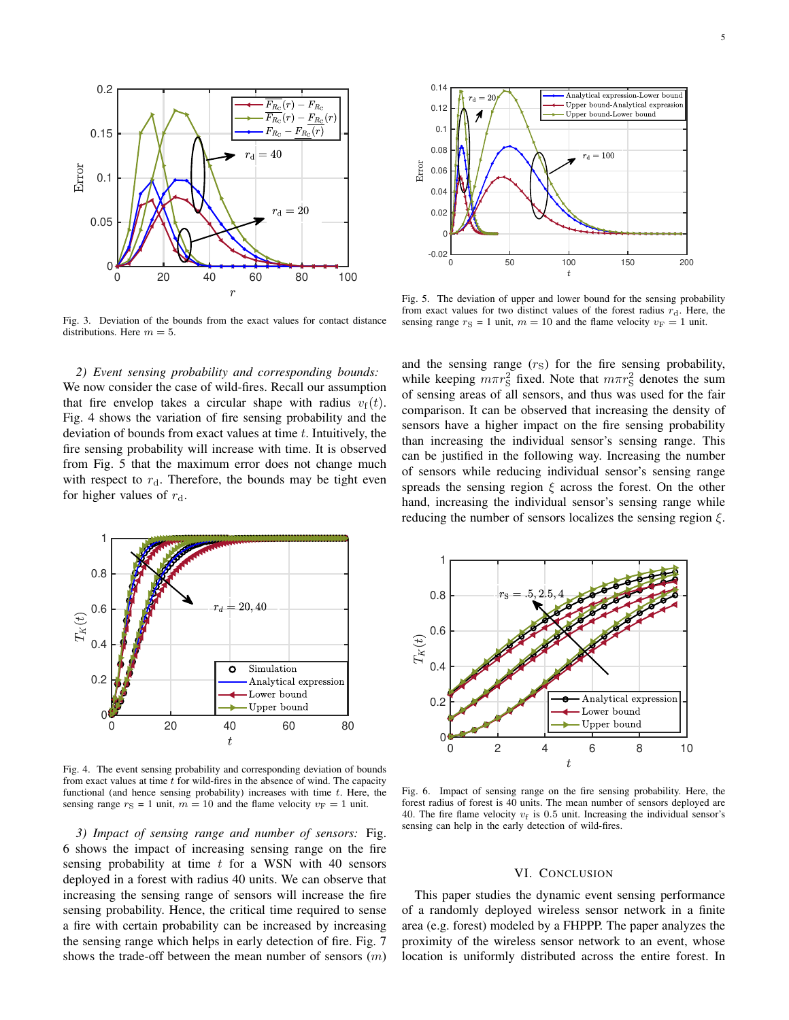

Fig. 3. Deviation of the bounds from the exact values for contact distance distributions. Here  $m = 5$ .

*2) Event sensing probability and corresponding bounds:* We now consider the case of wild-fires. Recall our assumption that fire envelop takes a circular shape with radius  $v_f(t)$ . Fig. 4 shows the variation of fire sensing probability and the deviation of bounds from exact values at time  $t$ . Intuitively, the fire sensing probability will increase with time. It is observed from Fig. 5 that the maximum error does not change much with respect to  $r_d$ . Therefore, the bounds may be tight even for higher values of  $r_d$ .



Fig. 5. The deviation of upper and lower bound for the sensing probability from exact values for two distinct values of the forest radius  $r_d$ . Here, the sensing range  $r_S = 1$  unit,  $m = 10$  and the flame velocity  $v_F = 1$  unit.

and the sensing range  $(r<sub>S</sub>)$  for the fire sensing probability, while keeping  $m\pi r_S^2$  fixed. Note that  $m\pi r_S^2$  denotes the sum of sensing areas of all sensors, and thus was used for the fair comparison. It can be observed that increasing the density of sensors have a higher impact on the fire sensing probability than increasing the individual sensor's sensing range. This can be justified in the following way. Increasing the number of sensors while reducing individual sensor's sensing range spreads the sensing region  $\xi$  across the forest. On the other hand, increasing the individual sensor's sensing range while reducing the number of sensors localizes the sensing region  $\xi$ .



Fig. 4. The event sensing probability and corresponding deviation of bounds from exact values at time  $t$  for wild-fires in the absence of wind. The capacity functional (and hence sensing probability) increases with time  $t$ . Here, the sensing range  $r_S = 1$  unit,  $m = 10$  and the flame velocity  $v_F = 1$  unit.

*3) Impact of sensing range and number of sensors:* Fig. 6 shows the impact of increasing sensing range on the fire sensing probability at time  $t$  for a WSN with 40 sensors deployed in a forest with radius 40 units. We can observe that increasing the sensing range of sensors will increase the fire sensing probability. Hence, the critical time required to sense a fire with certain probability can be increased by increasing the sensing range which helps in early detection of fire. Fig. 7 shows the trade-off between the mean number of sensors  $(m)$ 



Fig. 6. Impact of sensing range on the fire sensing probability. Here, the forest radius of forest is 40 units. The mean number of sensors deployed are 40. The fire flame velocity  $v_f$  is 0.5 unit. Increasing the individual sensor's sensing can help in the early detection of wild-fires.

## VI. CONCLUSION

This paper studies the dynamic event sensing performance of a randomly deployed wireless sensor network in a finite area (e.g. forest) modeled by a FHPPP. The paper analyzes the proximity of the wireless sensor network to an event, whose location is uniformly distributed across the entire forest. In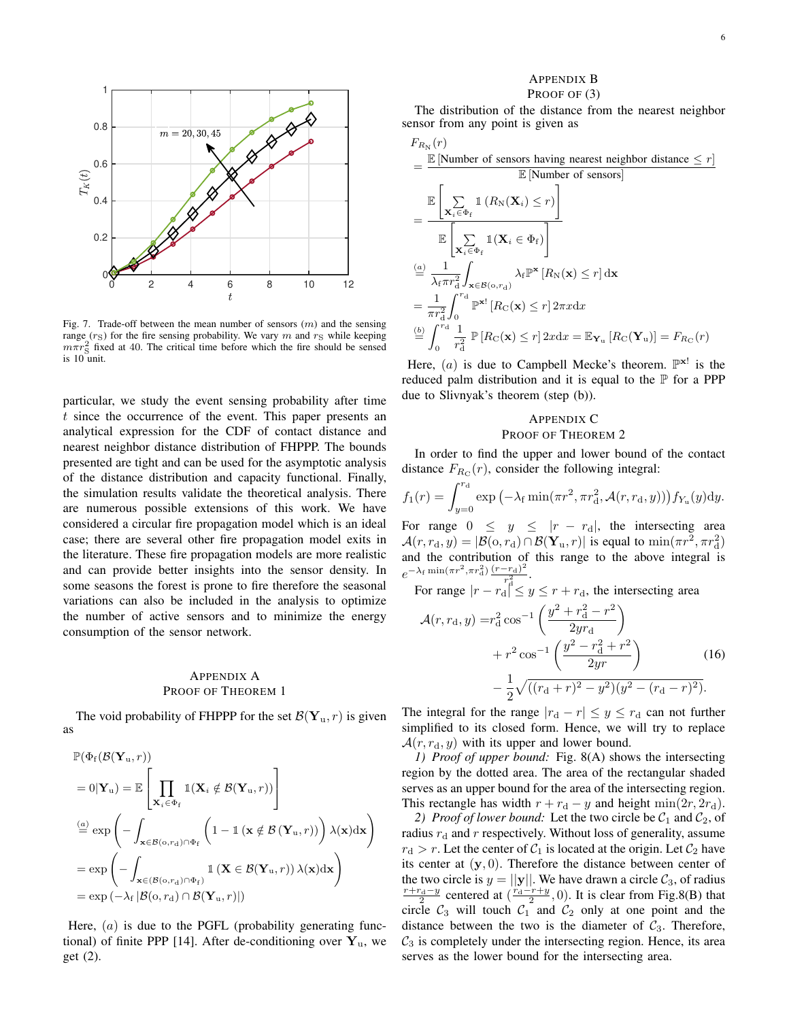

Fig. 7. Trade-off between the mean number of sensors  $(m)$  and the sensing range  $(r_S)$  for the fire sensing probability. We vary m and  $r_S$  while keeping  $m\pi r_S^2$  fixed at 40. The critical time before which the fire should be sensed is 10 unit.

particular, we study the event sensing probability after time t since the occurrence of the event. This paper presents an analytical expression for the CDF of contact distance and nearest neighbor distance distribution of FHPPP. The bounds presented are tight and can be used for the asymptotic analysis of the distance distribution and capacity functional. Finally, the simulation results validate the theoretical analysis. There are numerous possible extensions of this work. We have considered a circular fire propagation model which is an ideal case; there are several other fire propagation model exits in the literature. These fire propagation models are more realistic and can provide better insights into the sensor density. In some seasons the forest is prone to fire therefore the seasonal variations can also be included in the analysis to optimize the number of active sensors and to minimize the energy consumption of the sensor network.

## APPENDIX A PROOF OF THEOREM 1

The void probability of FHPPP for the set  $\mathcal{B}(\mathbf{Y}_u, r)$  is given as

$$
\mathbb{P}(\Phi_f(\mathcal{B}(\mathbf{Y}_u, r))
$$
\n
$$
= 0|\mathbf{Y}_u) = \mathbb{E}\left[\prod_{\mathbf{X}_i \in \Phi_f} \mathbb{I}(\mathbf{X}_i \notin \mathcal{B}(\mathbf{Y}_u, r))\right]
$$
\n
$$
\stackrel{(a)}{=} \exp\left(-\int_{\mathbf{x} \in \mathcal{B}(\mathbf{o}, r_d) \cap \Phi_f} \left(1 - \mathbb{I}(\mathbf{x} \notin \mathcal{B}(\mathbf{Y}_u, r))\right) \lambda(\mathbf{x}) d\mathbf{x}\right)
$$
\n
$$
= \exp\left(-\int_{\mathbf{x} \in (\mathcal{B}(\mathbf{o}, r_d) \cap \Phi_f)} \mathbb{I}(\mathbf{X} \in \mathcal{B}(\mathbf{Y}_u, r)) \lambda(\mathbf{x}) d\mathbf{x}\right)
$$
\n
$$
= \exp(-\lambda_f |\mathcal{B}(\mathbf{o}, r_d) \cap \mathcal{B}(\mathbf{Y}_u, r)|)
$$

Here,  $(a)$  is due to the PGFL (probability generating functional) of finite PPP [14]. After de-conditioning over  $Y_{u}$ , we get (2).

## APPENDIX B PROOF OF (3)

The distribution of the distance from the nearest neighbor sensor from any point is given as

$$
F_{R_N}(r)
$$
\n
$$
= \frac{\mathbb{E} [\text{Number of sensors having nearest neighbor distance} \le r]}{\mathbb{E} [\text{Number of sensors}]}
$$
\n
$$
= \frac{\mathbb{E} \left[ \sum_{\mathbf{x}_i \in \Phi_f} \mathbb{1} \left( R_N(\mathbf{X}_i) \le r \right) \right]}{\mathbb{E} \left[ \sum_{\mathbf{x}_i \in \Phi_f} \mathbb{1} (\mathbf{X}_i \in \Phi_f) \right]}
$$
\n
$$
\frac{a}{\mathbb{E} \left[ \sum_{\mathbf{x}_i \in \Phi_f} \mathbb{1} (\mathbf{X}_i \in \Phi_f) \right]}
$$
\n
$$
= \frac{1}{\lambda_f \pi r_d^2} \int_{\mathbf{x} \in \mathcal{B}(0, r_d)} \lambda_f \mathbb{P}^{\mathbf{x}} \left[ R_N(\mathbf{x}) \le r \right] d\mathbf{x}
$$
\n
$$
= \frac{1}{\pi r_d^2} \int_0^{r_d} \mathbb{P}^{\mathbf{x}!} \left[ R_C(\mathbf{x}) \le r \right] 2\pi x dx
$$
\n
$$
\frac{b}{r_d^2} \int_0^{r_d} \frac{1}{r_d^2} \mathbb{P} \left[ R_C(\mathbf{x}) \le r \right] 2x dx = \mathbb{E}_{\mathbf{Y}_u} \left[ R_C(\mathbf{Y}_u) \right] = F_{R_C}(r)
$$

Here,  $(a)$  is due to Campbell Mecke's theorem.  $\mathbb{P}^{\mathbf{x}!}$  is the reduced palm distribution and it is equal to the  $P$  for a PPP due to Slivnyak's theorem (step (b)).

## APPENDIX C PROOF OF THEOREM 2

In order to find the upper and lower bound of the contact distance  $F_{R_{\rm C}}(r)$ , consider the following integral:

$$
f_1(r) = \int_{y=0}^{r_d} \exp\left(-\lambda_f \min(\pi r^2, \pi r_d^2, \mathcal{A}(r, r_d, y))\right) f_{Y_u}(y) dy.
$$

For range  $0 \leq y \leq |r - r_d|$ , the intersecting area  $\mathcal{A}(r,r_\mathrm{d},y) = |\mathcal{B}(\mathrm{o},r_\mathrm{d}) \cap \mathcal{B}(\mathbf{Y}_\mathrm{u},r)|$  is equal to  $\min(\pi r^2, \pi r_\mathrm{d}^2)$ and the contribution of this range to the above integral is  $e^{-\lambda_f \min(\pi r^2, \pi r_d^2) \frac{(r-r_d)^2}{r^2}}$ .

For range  $|r - r_d|^2 \le y \le r + r_d$ , the intersecting area

$$
\mathcal{A}(r, r_{\rm d}, y) = r_{\rm d}^{2} \cos^{-1} \left( \frac{y^{2} + r_{\rm d}^{2} - r^{2}}{2y r_{\rm d}} \right) + r^{2} \cos^{-1} \left( \frac{y^{2} - r_{\rm d}^{2} + r^{2}}{2y r} \right) - \frac{1}{2} \sqrt{\left( (r_{\rm d} + r)^{2} - y^{2} \right) \left( y^{2} - (r_{\rm d} - r)^{2} \right)}.
$$
\n(16)

The integral for the range  $|r_d - r| \leq y \leq r_d$  can not further simplified to its closed form. Hence, we will try to replace  $\mathcal{A}(r, r_{d}, y)$  with its upper and lower bound.

*1) Proof of upper bound:* Fig. 8(A) shows the intersecting region by the dotted area. The area of the rectangular shaded serves as an upper bound for the area of the intersecting region. This rectangle has width  $r + r_d - y$  and height min $(2r, 2r_d)$ .

2) *Proof of lower bound:* Let the two circle be  $C_1$  and  $C_2$ , of radius  $r_d$  and r respectively. Without loss of generality, assume  $r_d > r$ . Let the center of  $C_1$  is located at the origin. Let  $C_2$  have its center at  $(y, 0)$ . Therefore the distance between center of the two circle is  $y = ||y||$ . We have drawn a circle  $\mathcal{C}_3$ , of radius  $\frac{r+r_d-y}{2}$  centered at  $\left(\frac{r_d-r+y}{2},0\right)$ . It is clear from Fig.8(B) that circle  $C_3$  will touch  $C_1$  and  $C_2$  only at one point and the distance between the two is the diameter of  $C_3$ . Therefore,  $C_3$  is completely under the intersecting region. Hence, its area serves as the lower bound for the intersecting area.